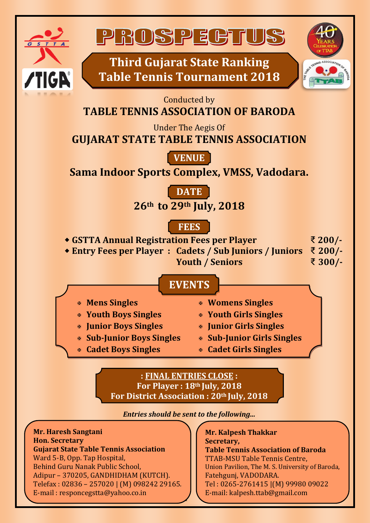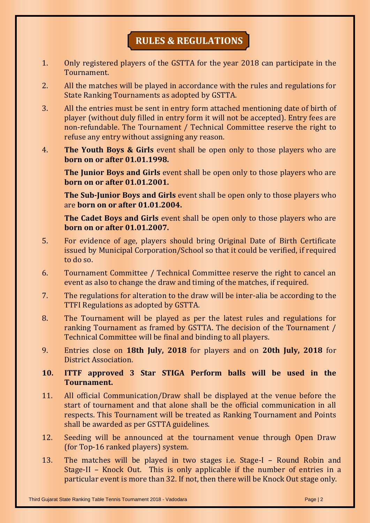## **RULES & REGULATIONS**

- 1. Only registered players of the GSTTA for the year 2018 can participate in the Tournament.
- 2. All the matches will be played in accordance with the rules and regulations for State Ranking Tournaments as adopted by GSTTA.
- 3. All the entries must be sent in entry form attached mentioning date of birth of player (without duly filled in entry form it will not be accepted). Entry fees are non-refundable. The Tournament / Technical Committee reserve the right to refuse any entry without assigning any reason.
- 4. **The Youth Boys & Girls** event shall be open only to those players who are **born on or after 01.01.1998.**

**The Junior Boys and Girls** event shall be open only to those players who are **born on or after 01.01.2001.** 

**The Sub-Junior Boys and Girls** event shall be open only to those players who are **born on or after 01.01.2004.**

**The Cadet Boys and Girls** event shall be open only to those players who are **born on or after 01.01.2007.**

- 5. For evidence of age, players should bring Original Date of Birth Certificate issued by Municipal Corporation/School so that it could be verified, if required to do so.
- 6. Tournament Committee / Technical Committee reserve the right to cancel an event as also to change the draw and timing of the matches, if required.
- 7. The regulations for alteration to the draw will be inter-alia be according to the TTFI Regulations as adopted by GSTTA.
- 8. The Tournament will be played as per the latest rules and regulations for ranking Tournament as framed by GSTTA. The decision of the Tournament / Technical Committee will be final and binding to all players.
- 9. Entries close on **18th July, 2018** for players and on **20th July, 2018** for District Association.

## **10. ITTF approved 3 Star STIGA Perform balls will be used in the Tournament.**

- 11. All official Communication/Draw shall be displayed at the venue before the start of tournament and that alone shall be the official communication in all respects. This Tournament will be treated as Ranking Tournament and Points shall be awarded as per GSTTA guidelines.
- 12. Seeding will be announced at the tournament venue through Open Draw (for Top-16 ranked players) system.
- 13. The matches will be played in two stages i.e. Stage-I Round Robin and Stage-II – Knock Out. This is only applicable if the number of entries in a particular event is more than 32. If not, then there will be Knock Out stage only.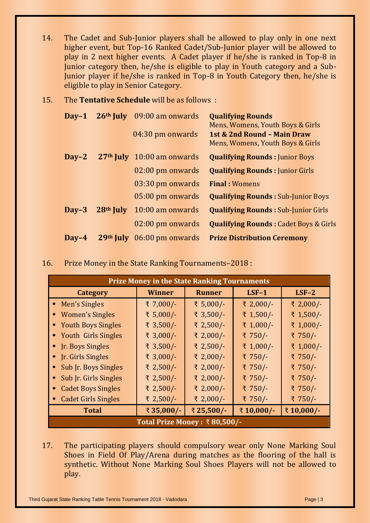- 14. The Cadet and Sub-Junior players shall be allowed to play only in one next higher event, but Top-16 Ranked Cadet/Sub-Junior player will be allowed to play in 2 next higher events. A Cadet player if he/she is ranked in Top-8 in Junior category then, he/she is eligible to play in Youth category and a Sub-Junior player if he/she is ranked in Top-8 in Youth Category then, he/she is eligible to play in Senior Category.
- 15. The **Tentative Schedule** will be as follows :

| $\bf{D}$ av-1        |           | 26 <sup>th</sup> July 09:00 am onwards | <b>Qualifying Rounds</b><br>Mens, Womens, Youth Boys & Girls    |  |  |
|----------------------|-----------|----------------------------------------|-----------------------------------------------------------------|--|--|
|                      |           | 04:30 pm onwards                       | 1st & 2nd Round - Main Draw<br>Mens, Womens, Youth Boys & Girls |  |  |
| $\bf{D}$ av-2        |           | 27 <sup>th</sup> July 10:00 am onwards | <b>Qualifying Rounds: Junior Boys</b>                           |  |  |
|                      |           | 02:00 pm onwards                       | <b>Qualifying Rounds: Junior Girls</b>                          |  |  |
|                      |           | 03:30 pm onwards                       | <b>Final: Womens</b>                                            |  |  |
|                      |           | 05:00 pm onwards                       | <b>Qualifying Rounds: Sub-Junior Boys</b>                       |  |  |
| $\mathbf{Dav}$ -3    | 28th July | 10:00 am onwards                       | <b>Qualifying Rounds: Sub-Junior Girls</b>                      |  |  |
|                      |           | 02:00 pm onwards                       | <b>Qualifying Rounds: Cadet Boys &amp; Girls</b>                |  |  |
| $\bf\textbf{D}$ av-4 |           | 29 <sup>th</sup> July 06:00 pm onwards | <b>Prize Distribution Ceremony</b>                              |  |  |

16. Prize Money in the State Ranking Tournaments–2018 :

| <b>Prize Money in the State Ranking Tournaments</b> |               |               |           |           |  |  |
|-----------------------------------------------------|---------------|---------------|-----------|-----------|--|--|
| <b>Category</b>                                     | <b>Winner</b> | <b>Runner</b> | $LSF-1$   | $LSF-2$   |  |  |
| • Men's Singles                                     | ₹ 7,000/-     | ₹ 5,000/-     | ₹ 2,000/- | ₹ 2,000/- |  |  |
| <b>Women's Singles</b>                              | ₹ 5,000/-     | ₹ 3,500/-     | ₹ 1,500/- | ₹ 1,500/- |  |  |
| <b>Youth Boys Singles</b>                           | ₹ 3,500/-     | ₹ 2,500/-     | ₹ 1,000/- | ₹ 1,000/- |  |  |
| • Youth Girls Singles                               | ₹ 3,000/-     | ₹ 2,000/-     | ₹ 750/-   | ₹ 750/-   |  |  |
| <b>In. Boys Singles</b>                             | ₹ 3,500/-     | ₹ 2,500/-     | ₹ 1,000/- | ₹ 1,000/- |  |  |
| <b>In. Girls Singles</b>                            | ₹ 3,000/-     | ₹ 2,000/-     | ₹ 750/-   | ₹ 750/-   |  |  |
| Sub Jr. Boys Singles                                | ₹ 2,500/-     | ₹ 2,000/-     | ₹ 750/-   | ₹ 750/-   |  |  |
| Sub Jr. Girls Singles                               | ₹ 2,500/-     | ₹ 2,000/-     | ₹ 750/-   | ₹ 750/-   |  |  |
| <b>Cadet Boys Singles</b>                           | ₹ 2,500/-     | ₹ 2,000/-     | ₹ 750/-   | ₹ 750/-   |  |  |
| <b>Cadet Girls Singles</b>                          | ₹ 2,500/-     | ₹ 2,000/-     | ₹ 750/-   | ₹ 750/-   |  |  |
| <b>Total</b>                                        | ₹35,000/-     | ₹25,500/-     | ₹10,000/- | ₹10,000/- |  |  |
| Total Prize Money : $\bar{x}$ 80,500/-              |               |               |           |           |  |  |

17. The participating players should compulsory wear only None Marking Soul Shoes in Field Of Play/Arena during matches as the flooring of the hall is synthetic. Without None Marking Soul Shoes Players will not be allowed to play.